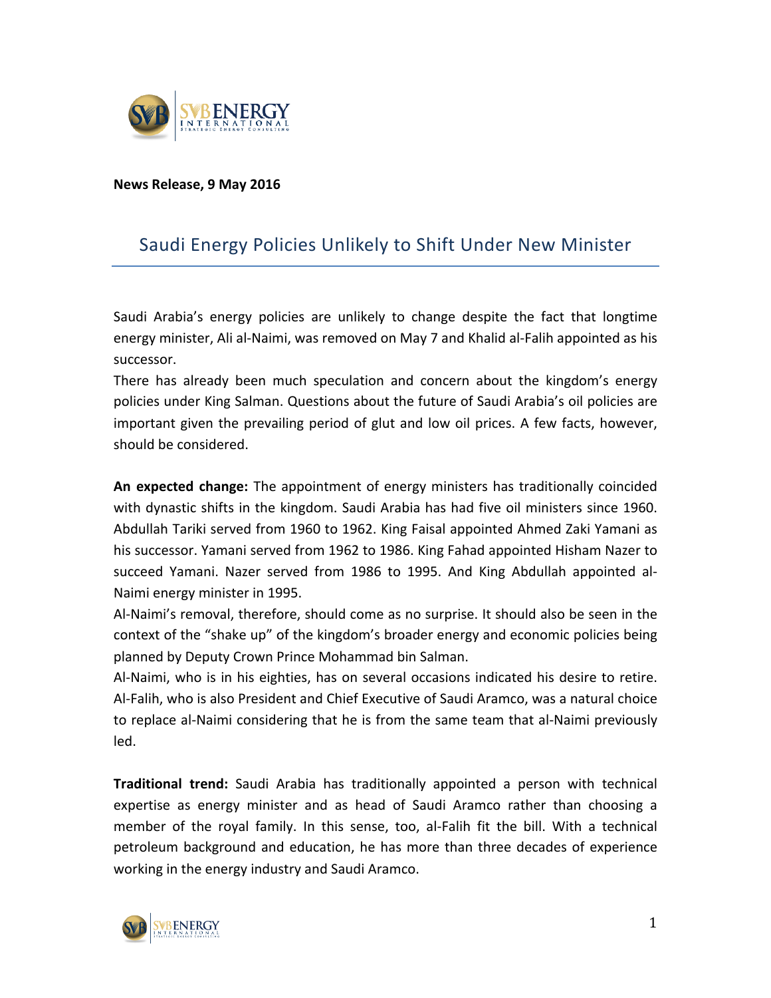

## **News Release, 9 May 2016**

## Saudi Energy Policies Unlikely to Shift Under New Minister

Saudi Arabia's energy policies are unlikely to change despite the fact that longtime energy minister, Ali al-Naimi, was removed on May 7 and Khalid al-Falih appointed as his successor.

There has already been much speculation and concern about the kingdom's energy policies under King Salman. Questions about the future of Saudi Arabia's oil policies are important given the prevailing period of glut and low oil prices. A few facts, however, should be considered.

**An expected change:** The appointment of energy ministers has traditionally coincided with dynastic shifts in the kingdom. Saudi Arabia has had five oil ministers since 1960. Abdullah Tariki served from 1960 to 1962. King Faisal appointed Ahmed Zaki Yamani as his successor. Yamani served from 1962 to 1986. King Fahad appointed Hisham Nazer to succeed Yamani. Nazer served from 1986 to 1995. And King Abdullah appointed al-Naimi energy minister in 1995.

Al-Naimi's removal, therefore, should come as no surprise. It should also be seen in the context of the "shake up" of the kingdom's broader energy and economic policies being planned by Deputy Crown Prince Mohammad bin Salman.

Al-Naimi, who is in his eighties, has on several occasions indicated his desire to retire. Al-Falih, who is also President and Chief Executive of Saudi Aramco, was a natural choice to replace al-Naimi considering that he is from the same team that al-Naimi previously led. 

**Traditional trend:** Saudi Arabia has traditionally appointed a person with technical expertise as energy minister and as head of Saudi Aramco rather than choosing a member of the royal family. In this sense, too, al-Falih fit the bill. With a technical petroleum background and education, he has more than three decades of experience working in the energy industry and Saudi Aramco.